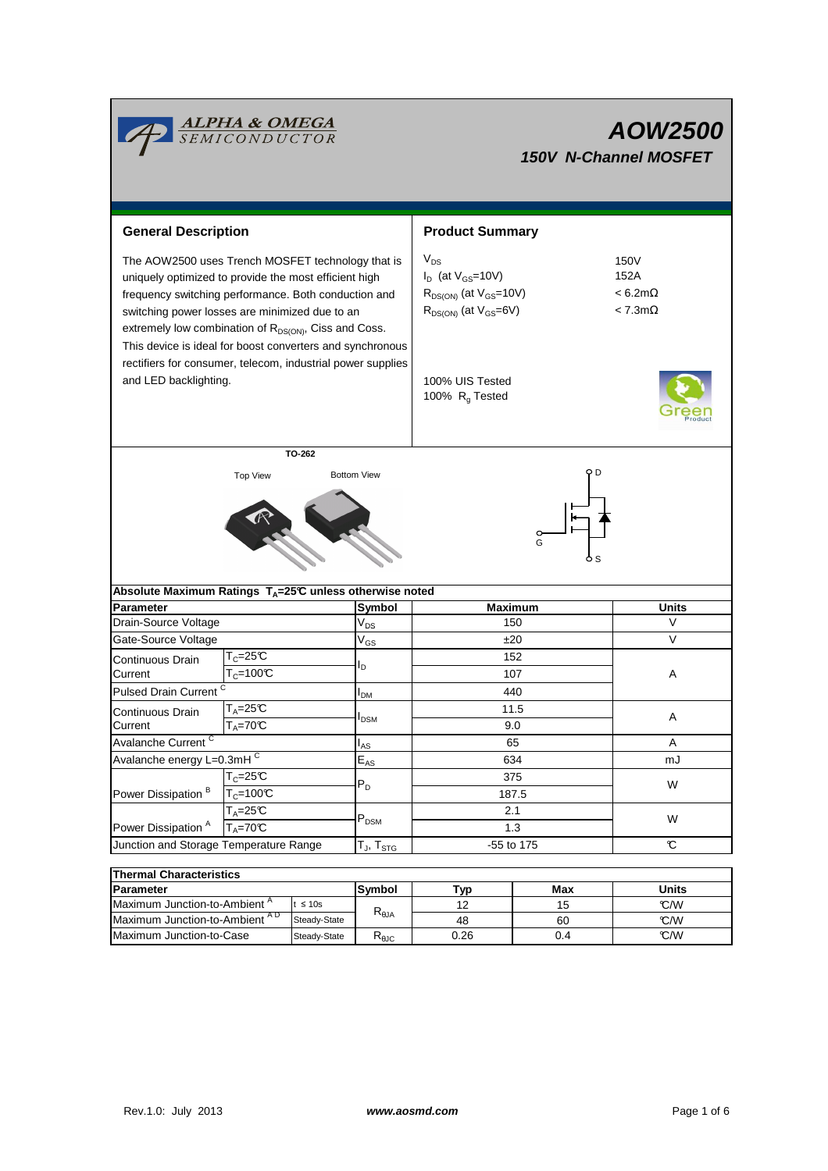

# **AOW2500 150V N-Channel MOSFET**

| <b>General Description</b>                                                                                                                                                                                                                                                                |                    |                                                           | <b>Product Summary</b>                                                                                    |                                                       |  |  |
|-------------------------------------------------------------------------------------------------------------------------------------------------------------------------------------------------------------------------------------------------------------------------------------------|--------------------|-----------------------------------------------------------|-----------------------------------------------------------------------------------------------------------|-------------------------------------------------------|--|--|
| The AOW2500 uses Trench MOSFET technology that is<br>uniquely optimized to provide the most efficient high<br>frequency switching performance. Both conduction and<br>switching power losses are minimized due to an<br>extremely low combination of R <sub>DS(ON)</sub> , Ciss and Coss. |                    | This device is ideal for boost converters and synchronous | $V_{DS}$<br>$I_D$ (at $V_{GS}$ =10V)<br>$R_{DS(ON)}$ (at $V_{GS}$ =10V)<br>$R_{DS(ON)}$ (at $V_{GS}=6V$ ) | 150V<br>152A<br>$< 6.2 m\Omega$<br>$< 7.3$ m $\Omega$ |  |  |
| rectifiers for consumer, telecom, industrial power supplies<br>and LED backlighting.                                                                                                                                                                                                      |                    |                                                           | 100% UIS Tested<br>100% R <sub>q</sub> Tested                                                             |                                                       |  |  |
|                                                                                                                                                                                                                                                                                           | TO-262             |                                                           |                                                                                                           |                                                       |  |  |
|                                                                                                                                                                                                                                                                                           | <b>Top View</b>    | <b>Bottom View</b>                                        |                                                                                                           |                                                       |  |  |
| Absolute Maximum Ratings $T_A = 25^\circ \text{C}$ unless otherwise noted                                                                                                                                                                                                                 |                    |                                                           | G                                                                                                         |                                                       |  |  |
| <b>Parameter</b>                                                                                                                                                                                                                                                                          |                    | <b>Symbol</b>                                             | <b>Maximum</b>                                                                                            | <b>Units</b>                                          |  |  |
| Drain-Source Voltage                                                                                                                                                                                                                                                                      |                    | $V_{DS}$                                                  | 150                                                                                                       | V                                                     |  |  |
| Gate-Source Voltage                                                                                                                                                                                                                                                                       |                    | $\mathsf{V}_{\mathsf{GS}}$                                | ±20                                                                                                       | $\vee$                                                |  |  |
| Continuous Drain                                                                                                                                                                                                                                                                          | $T_c = 25C$        |                                                           | 152                                                                                                       |                                                       |  |  |
| Current                                                                                                                                                                                                                                                                                   | $T_c = 100C$       | l <sub>D</sub>                                            | 107                                                                                                       | Α                                                     |  |  |
| Pulsed Drain Current <sup>C</sup>                                                                                                                                                                                                                                                         |                    | I <sub>DM</sub>                                           | 440                                                                                                       |                                                       |  |  |
| Continuous Drain                                                                                                                                                                                                                                                                          | $T_A = 25C$        |                                                           | 11.5                                                                                                      |                                                       |  |  |
| Current                                                                                                                                                                                                                                                                                   | $T_A = 70C$        | I <sub>DSM</sub>                                          | 9.0                                                                                                       | Α                                                     |  |  |
| Avalanche Current <sup>C</sup>                                                                                                                                                                                                                                                            |                    | l <sub>AS</sub>                                           | 65                                                                                                        | Α                                                     |  |  |
| Avalanche energy L=0.3mHC                                                                                                                                                                                                                                                                 |                    | $\mathsf{E}_{\mathsf{AS}}$                                | 634                                                                                                       | mJ                                                    |  |  |
| Power Dissipation <sup>B</sup>                                                                                                                                                                                                                                                            | $T_c = 25C$        |                                                           | 375                                                                                                       |                                                       |  |  |
|                                                                                                                                                                                                                                                                                           | $T_c = 100C$       | $P_D$                                                     | 187.5                                                                                                     | W                                                     |  |  |
|                                                                                                                                                                                                                                                                                           | $T_A = 25C$        |                                                           | 2.1                                                                                                       |                                                       |  |  |
| Power Dissipation <sup>A</sup>                                                                                                                                                                                                                                                            | $T_A = 70^\circ C$ | $\mathsf{P}_\mathsf{DSM}$                                 | 1.3                                                                                                       | W                                                     |  |  |
| Junction and Storage Temperature Range                                                                                                                                                                                                                                                    |                    | $T_J$ , $T_{STG}$                                         | -55 to 175                                                                                                | C                                                     |  |  |
|                                                                                                                                                                                                                                                                                           |                    |                                                           |                                                                                                           |                                                       |  |  |
| <b>Thermal Characteristics</b>                                                                                                                                                                                                                                                            |                    |                                                           |                                                                                                           |                                                       |  |  |

| THEITIM UNARCUEI ISUUS                   |               |                |      |       |     |  |  |  |  |
|------------------------------------------|---------------|----------------|------|-------|-----|--|--|--|--|
| <b>Parameter</b>                         | <b>Svmbol</b> | Typ.           | Max  | Units |     |  |  |  |  |
| Maximum Junction-to-Ambient <sup>"</sup> | $\leq 10s$    |                |      | 15    | C/M |  |  |  |  |
| Maximum Junction-to-Ambient AD           | Steady-State  | $R_{\theta$ JA | 48   | 60    | C/M |  |  |  |  |
| Maximum Junction-to-Case<br>Steady-State |               | ™e.iC          | 0.26 | 0.4   | C/M |  |  |  |  |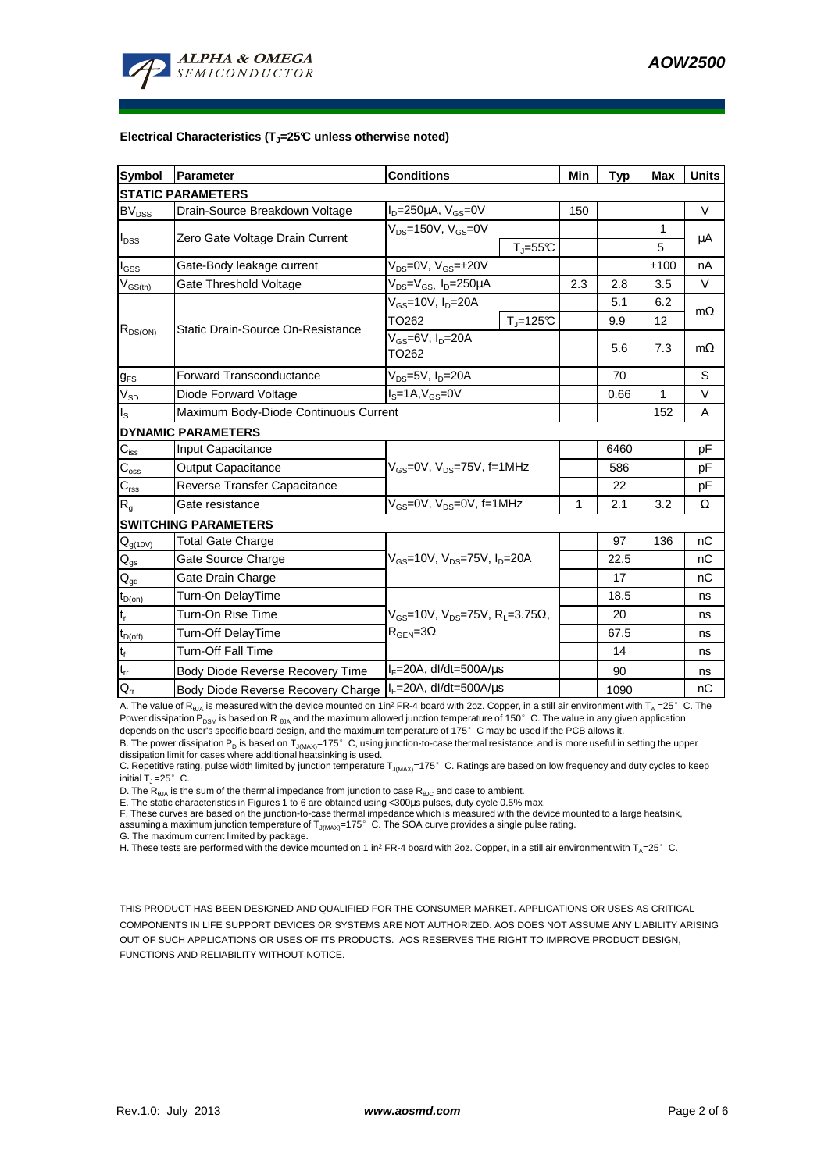

#### **Electrical Characteristics (TJ=25°C unless otherwise noted)**

| <b>Symbol</b>                                          | Parameter                                                               | <b>Conditions</b>                                                                           |     | <b>Typ</b> | <b>Max</b> | <b>Units</b> |  |  |  |  |
|--------------------------------------------------------|-------------------------------------------------------------------------|---------------------------------------------------------------------------------------------|-----|------------|------------|--------------|--|--|--|--|
| <b>STATIC PARAMETERS</b>                               |                                                                         |                                                                                             |     |            |            |              |  |  |  |  |
| <b>BV<sub>DSS</sub></b>                                | Drain-Source Breakdown Voltage                                          | $I_D = 250 \mu A$ , $V_{GS} = 0V$                                                           | 150 |            |            | $\vee$       |  |  |  |  |
| $I_{DSS}$                                              | Zero Gate Voltage Drain Current                                         | $V_{DS}$ =150V, $V_{GS}$ =0V                                                                |     |            | 1          | $\mu$ A      |  |  |  |  |
|                                                        |                                                                         | $T_{\parallel} = 55$ °C                                                                     |     |            | 5          |              |  |  |  |  |
| $I_{GSS}$                                              | Gate-Body leakage current                                               | $V_{DS} = 0V$ , $V_{GS} = \pm 20V$                                                          |     |            | ±100       | nA           |  |  |  |  |
| $\mathsf{V}_{\mathsf{GS}(\underline{t}\underline{h})}$ | Gate Threshold Voltage                                                  | $V_{DS} = V_{GS}$ , $I_D = 250 \mu A$                                                       | 2.3 | 2.8        | 3.5        | $\vee$       |  |  |  |  |
|                                                        | Static Drain-Source On-Resistance                                       | $V_{GS}$ =10V, $I_{D}$ =20A                                                                 |     | 5.1        | 6.2        |              |  |  |  |  |
|                                                        |                                                                         | $T_{\parallel} = 125$ °C<br>TO <sub>262</sub>                                               |     | 9.9        | 12         | $m\Omega$    |  |  |  |  |
| $R_{DS(ON)}$                                           |                                                                         | $V_{GS}$ =6V, $I_D$ =20A                                                                    |     | 5.6        | 7.3        |              |  |  |  |  |
|                                                        |                                                                         | TO <sub>262</sub>                                                                           |     |            |            | $m\Omega$    |  |  |  |  |
| $g_{FS}$                                               | <b>Forward Transconductance</b>                                         | $V_{DS}$ =5V, $I_D$ =20A                                                                    |     | 70         |            | S            |  |  |  |  |
| $V_{SD}$                                               | Diode Forward Voltage                                                   | $IS=1A, VGS=0V$                                                                             |     | 0.66       | 1          | $\vee$       |  |  |  |  |
| $I_{\rm S}$                                            | Maximum Body-Diode Continuous Current                                   |                                                                                             |     |            | 152        | A            |  |  |  |  |
|                                                        | <b>DYNAMIC PARAMETERS</b>                                               |                                                                                             |     |            |            |              |  |  |  |  |
| $C_{\text{iss}}$                                       | Input Capacitance                                                       |                                                                                             |     | 6460       |            | pF           |  |  |  |  |
| $C_{\rm oss}$                                          | <b>Output Capacitance</b>                                               | $V_{GS}$ =0V, $V_{DS}$ =75V, f=1MHz                                                         |     | 586        |            | pF           |  |  |  |  |
| $C_{\text{rss}}$                                       | Reverse Transfer Capacitance                                            |                                                                                             |     | 22         |            | pF           |  |  |  |  |
| $R_{q}$                                                | Gate resistance                                                         | $V_{GS}$ =0V, $V_{DS}$ =0V, f=1MHz                                                          | 1   | 2.1        | 3.2        | Ω            |  |  |  |  |
|                                                        | <b>SWITCHING PARAMETERS</b>                                             |                                                                                             |     |            |            |              |  |  |  |  |
| $\mathsf{Q}_{g(10V)}$                                  | <b>Total Gate Charge</b>                                                |                                                                                             |     | 97         | 136        | nC           |  |  |  |  |
| $\mathsf{Q}_{\underline{\mathsf{gs}}}$                 | Gate Source Charge                                                      | $V_{GS}$ =10V, $V_{DS}$ =75V, $I_{D}$ =20A                                                  |     | 22.5       |            | nC           |  |  |  |  |
| $\mathsf{Q}_{\text{gd}}$                               | Gate Drain Charge                                                       |                                                                                             |     | 17         |            | nC           |  |  |  |  |
| $t_{\text{D}(on)}$                                     | Turn-On DelayTime                                                       |                                                                                             |     | 18.5       |            | ns           |  |  |  |  |
| $\mathbf{t}_\mathrm{r}$                                | Turn-On Rise Time                                                       | $V_{GS}$ =10V, $V_{DS}$ =75V, R <sub>L</sub> =3.75 $\Omega$ ,<br>$R_{\text{GEN}} = 3\Omega$ |     | 20         |            | ns           |  |  |  |  |
| $t_{D(off)}$                                           | Turn-Off DelayTime                                                      |                                                                                             |     | 67.5       |            | ns           |  |  |  |  |
| $t_f$                                                  | Turn-Off Fall Time                                                      |                                                                                             |     | 14         |            | ns           |  |  |  |  |
| $t_{rr}$                                               | Body Diode Reverse Recovery Time                                        | $I_F = 20A$ , dl/dt=500A/ $\mu$ s                                                           |     | 90         |            | ns           |  |  |  |  |
| $\mathsf{Q}_{\mathsf{rr}}$                             | $I_F = 20A$ , dl/dt=500A/ $\mu$ s<br>Body Diode Reverse Recovery Charge |                                                                                             |     | 1090       |            | nC           |  |  |  |  |

A. The value of R<sub>θJA</sub> is measured with the device mounted on 1in<sup>2</sup> FR-4 board with 2oz. Copper, in a still air environment with T<sub>A</sub> =25°C. The Power dissipation  $P_{DSM}$  is based on R  $_{B1A}$  and the maximum allowed junction temperature of 150°C. The value in any given application depends on the user's specific board design, and the maximum temperature of 175°C may be used if the PCB allows it.

B. The power dissipation P<sub>D</sub> is based on T<sub>J(MAX)</sub>=175°C, using junction-to-case thermal resistance, and is more useful in setting the upper<br>dissipation limit for cases where additional heatsinking is used.

C. Repetitive rating, pulse width limited by junction temperature T<sub>J(MAX)</sub>=175°C. Ratings are based on low frequency and duty cycles to keep initial  $T_1 = 25^\circ$  C.

D. The  $R_{\theta JA}$  is the sum of the thermal impedance from junction to case  $R_{\theta JC}$  and case to ambient.

E. The static characteristics in Figures 1 to 6 are obtained using <300µs pulses, duty cycle 0.5% max.<br>F. These curves are based on the junction-to-case thermal impedance which is measured with the device mounted to a larg

G. The maximum current limited by package.

H. These tests are performed with the device mounted on 1 in<sup>2</sup> FR-4 board with 2oz. Copper, in a still air environment with T<sub>A</sub>=25°C.

THIS PRODUCT HAS BEEN DESIGNED AND QUALIFIED FOR THE CONSUMER MARKET. APPLICATIONS OR USES AS CRITICAL COMPONENTS IN LIFE SUPPORT DEVICES OR SYSTEMS ARE NOT AUTHORIZED. AOS DOES NOT ASSUME ANY LIABILITY ARISING OUT OF SUCH APPLICATIONS OR USES OF ITS PRODUCTS. AOS RESERVES THE RIGHT TO IMPROVE PRODUCT DESIGN, FUNCTIONS AND RELIABILITY WITHOUT NOTICE.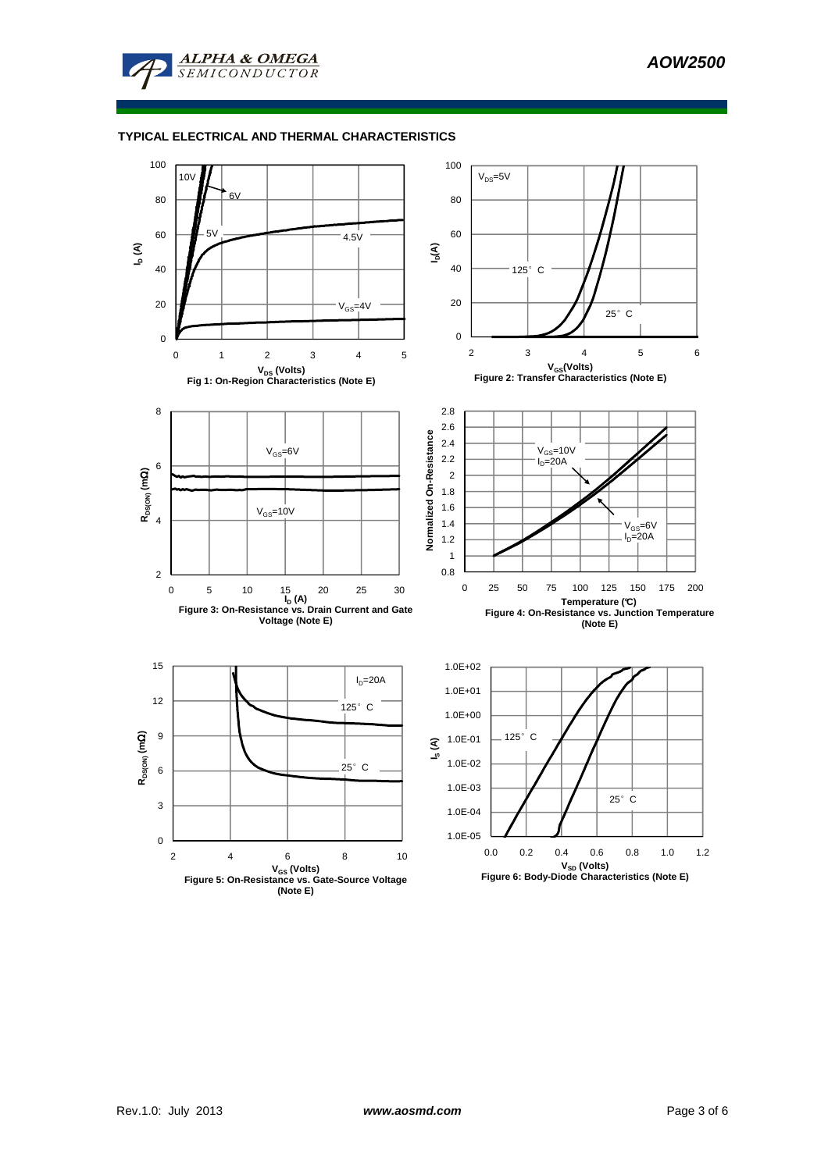

#### **TYPICAL ELECTRICAL AND THERMAL CHARACTERISTICS**

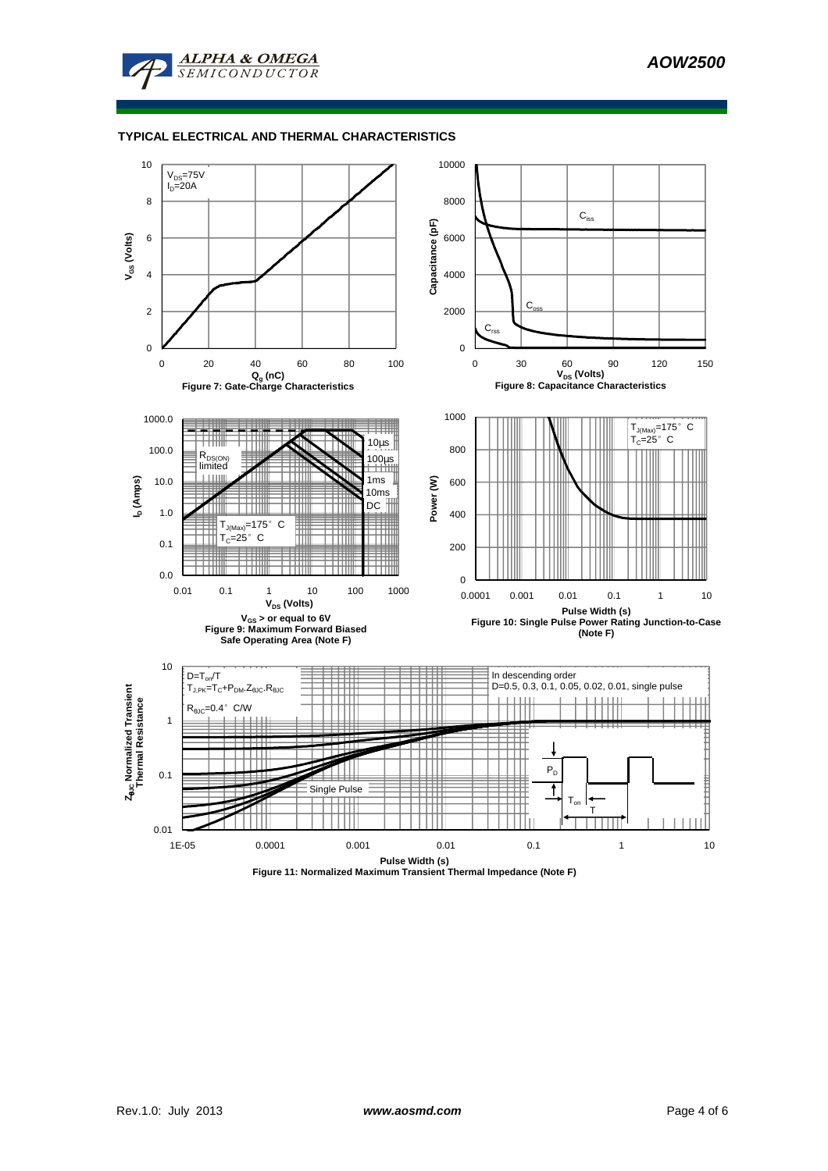

### **TYPICAL ELECTRICAL AND THERMAL CHARACTERISTICS**



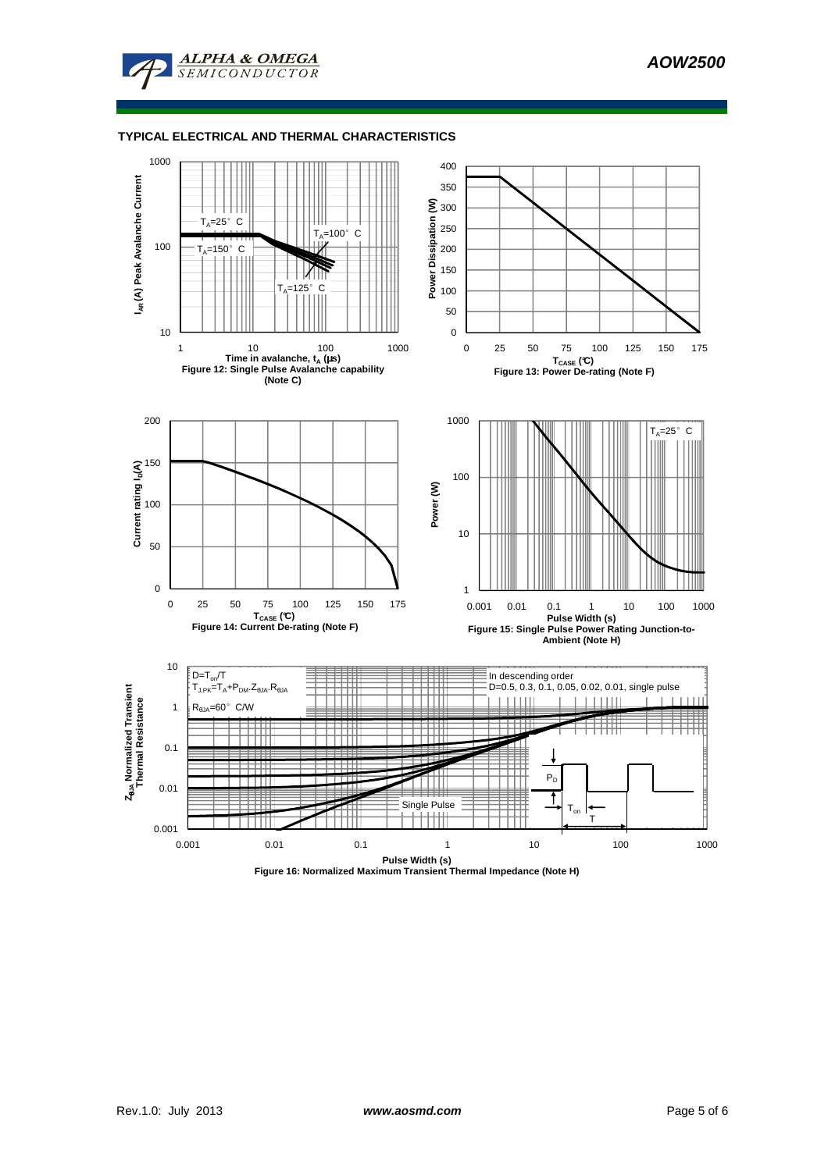

**ALPHA & OMEGA** SEMICONDUCTOR